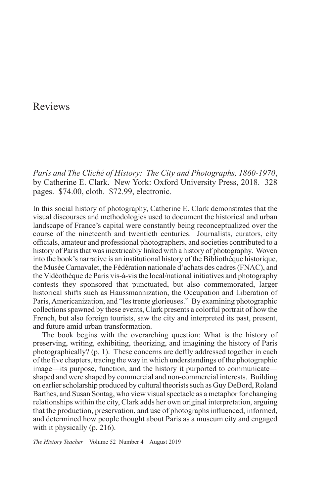## Reviews

*Paris and The Cliché of History: The City and Photographs, 1860-1970*, by Catherine E. Clark. New York: Oxford University Press, 2018. 328 pages. \$74.00, cloth. \$72.99, electronic.

In this social history of photography, Catherine E. Clark demonstrates that the visual discourses and methodologies used to document the historical and urban landscape of France's capital were constantly being reconceptualized over the course of the nineteenth and twentieth centuries. Journalists, curators, city officials, amateur and professional photographers, and societies contributed to a history of Paris that was inextricably linked with a history of photography. Woven into the book's narrative is an institutional history of the Bibliothèque historique, the Musée Carnavalet, the Fédération nationale d'achats des cadres (FNAC), and the Vidéothèque de Paris vis-à-vis the local/national initiatives and photography contests they sponsored that punctuated, but also commemorated, larger historical shifts such as Haussmannization, the Occupation and Liberation of Paris, Americanization, and "les trente glorieuses." By examining photographic collections spawned by these events, Clark presents a colorful portrait of how the French, but also foreign tourists, saw the city and interpreted its past, present, and future amid urban transformation.

The book begins with the overarching question: What is the history of preserving, writing, exhibiting, theorizing, and imagining the history of Paris photographically? (p. 1). These concerns are deftly addressed together in each of the five chapters, tracing the way in which understandings of the photographic image—its purpose, function, and the history it purported to communicate shaped and were shaped by commercial and non-commercial interests. Building on earlier scholarship produced by cultural theorists such as Guy DeBord, Roland Barthes, and Susan Sontag, who view visual spectacle as a metaphor for changing relationships within the city, Clark adds her own original interpretation, arguing that the production, preservation, and use of photographs influenced, informed, and determined how people thought about Paris as a museum city and engaged with it physically (p. 216).

*The History Teacher* Volume 52 Number 4 August 2019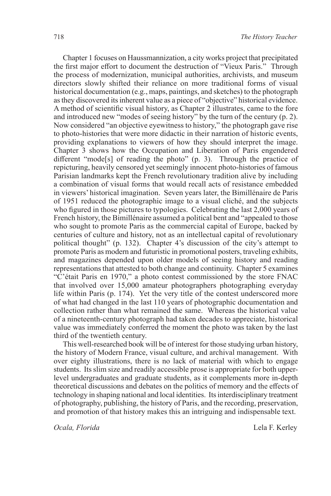Chapter 1 focuses on Haussmannization, a city works project that precipitated the first major effort to document the destruction of "Vieux Paris." Through the process of modernization, municipal authorities, archivists, and museum directors slowly shifted their reliance on more traditional forms of visual historical documentation (e.g., maps, paintings, and sketches) to the photograph as they discovered its inherent value as a piece of "objective" historical evidence. A method of scientific visual history, as Chapter 2 illustrates, came to the fore and introduced new "modes of seeing history" by the turn of the century (p. 2). Now considered "an objective eyewitness to history," the photograph gave rise to photo-histories that were more didactic in their narration of historic events, providing explanations to viewers of how they should interpret the image. Chapter 3 shows how the Occupation and Liberation of Paris engendered different "mode[s] of reading the photo" (p. 3). Through the practice of repicturing, heavily censored yet seemingly innocent photo-histories of famous Parisian landmarks kept the French revolutionary tradition alive by including a combination of visual forms that would recall acts of resistance embedded in viewers' historical imagination. Seven years later, the Bimillénaire de Paris of 1951 reduced the photographic image to a visual cliché, and the subjects who figured in those pictures to typologies. Celebrating the last 2,000 years of French history, the Bimillénaire assumed a political bent and "appealed to those who sought to promote Paris as the commercial capital of Europe, backed by centuries of culture and history, not as an intellectual capital of revolutionary political thought" (p. 132). Chapter 4's discussion of the city's attempt to promote Paris as modern and futuristic in promotional posters, traveling exhibits, and magazines depended upon older models of seeing history and reading representations that attested to both change and continuity. Chapter 5 examines "C'était Paris en 1970," a photo contest commissioned by the store FNAC that involved over 15,000 amateur photographers photographing everyday life within Paris (p. 174). Yet the very title of the contest underscored more of what had changed in the last 110 years of photographic documentation and collection rather than what remained the same. Whereas the historical value of a nineteenth-century photograph had taken decades to appreciate, historical value was immediately conferred the moment the photo was taken by the last third of the twentieth century.

This well-researched book will be of interest for those studying urban history, the history of Modern France, visual culture, and archival management. With over eighty illustrations, there is no lack of material with which to engage students. Its slim size and readily accessible prose is appropriate for both upperlevel undergraduates and graduate students, as it complements more in-depth theoretical discussions and debates on the politics of memory and the effects of technology in shaping national and local identities. Its interdisciplinary treatment of photography, publishing, the history of Paris, and the recording, preservation, and promotion of that history makes this an intriguing and indispensable text.

*Ocala, Florida* Lela F. Kerley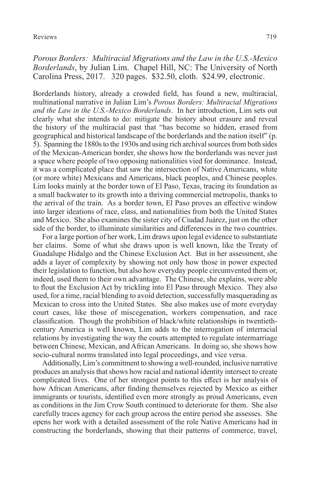*Porous Borders: Multiracial Migrations and the Law in the U.S.-Mexico Borderlands*, by Julian Lim. Chapel Hill, NC: The University of North Carolina Press, 2017. 320 pages. \$32.50, cloth. \$24.99, electronic.

Borderlands history, already a crowded field, has found a new, multiracial, multinational narrative in Julian Lim's *Porous Borders: Multiracial Migrations and the Law in the U.S.-Mexico Borderlands*. In her introduction, Lim sets out clearly what she intends to do: mitigate the history about erasure and reveal the history of the multiracial past that "has become so hidden, erased from geographical and historical landscape of the borderlands and the nation itself" (p. 5). Spanning the 1880s to the 1930s and using rich archival sources from both sides of the Mexican-American border, she shows how the borderlands was never just a space where people of two opposing nationalities vied for dominance. Instead, it was a complicated place that saw the intersection of Native Americans, white (or more white) Mexicans and Americans, black peoples, and Chinese peoples. Lim looks mainly at the border town of El Paso, Texas, tracing its foundation as a small backwater to its growth into a thriving commercial metropolis, thanks to the arrival of the train. As a border town, El Paso proves an effective window into larger ideations of race, class, and nationalities from both the United States and Mexico. She also examines the sister city of Ciudad Juárez, just on the other side of the border, to illuminate similarities and differences in the two countries.

For a large portion of her work, Lim draws upon legal evidence to substantiate her claims. Some of what she draws upon is well known, like the Treaty of Guadalupe Hidalgo and the Chinese Exclusion Act. But in her assessment, she adds a layer of complexity by showing not only how those in power expected their legislation to function, but also how everyday people circumvented them or, indeed, used them to their own advantage. The Chinese, she explains, were able to flout the Exclusion Act by trickling into El Paso through Mexico. They also used, for a time, racial blending to avoid detection, successfully masquerading as Mexican to cross into the United States. She also makes use of more everyday court cases, like those of miscegenation, workers compensation, and race classification. Though the prohibition of black/white relationships in twentiethcentury America is well known, Lim adds to the interrogation of interracial relations by investigating the way the courts attempted to regulate intermarriage between Chinese, Mexican, and African Americans. In doing so, she shows how socio-cultural norms translated into legal proceedings, and vice versa.

Additionally, Lim's commitment to showing a well-rounded, inclusive narrative produces an analysis that shows how racial and national identity intersect to create complicated lives. One of her strongest points to this effect is her analysis of how African Americans, after finding themselves rejected by Mexico as either immigrants or tourists, identified even more strongly as proud Americans, even as conditions in the Jim Crow South continued to deteriorate for them. She also carefully traces agency for each group across the entire period she assesses. She opens her work with a detailed assessment of the role Native Americans had in constructing the borderlands, showing that their patterns of commerce, travel,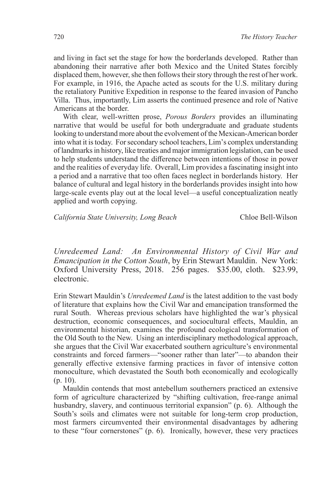and living in fact set the stage for how the borderlands developed. Rather than abandoning their narrative after both Mexico and the United States forcibly displaced them, however, she then follows their story through the rest of her work. For example, in 1916, the Apache acted as scouts for the U.S. military during the retaliatory Punitive Expedition in response to the feared invasion of Pancho Villa. Thus, importantly, Lim asserts the continued presence and role of Native Americans at the border.

With clear, well-written prose, *Porous Borders* provides an illuminating narrative that would be useful for both undergraduate and graduate students looking to understand more about the evolvement of the Mexican-American border into what it is today. For secondary school teachers, Lim's complex understanding of landmarks in history, like treaties and major immigration legislation, can be used to help students understand the difference between intentions of those in power and the realities of everyday life. Overall, Lim provides a fascinating insight into a period and a narrative that too often faces neglect in borderlands history. Her balance of cultural and legal history in the borderlands provides insight into how large-scale events play out at the local level—a useful conceptualization neatly applied and worth copying.

*California State University, Long Beach* Chloe Bell-Wilson

*Unredeemed Land: An Environmental History of Civil War and Emancipation in the Cotton South*, by Erin Stewart Mauldin. New York: Oxford University Press, 2018. 256 pages. \$35.00, cloth. \$23.99, electronic.

Erin Stewart Mauldin's *Unredeemed Land* is the latest addition to the vast body of literature that explains how the Civil War and emancipation transformed the rural South. Whereas previous scholars have highlighted the war's physical destruction, economic consequences, and sociocultural effects, Mauldin, an environmental historian, examines the profound ecological transformation of the Old South to the New. Using an interdisciplinary methodological approach, she argues that the Civil War exacerbated southern agriculture's environmental constraints and forced farmers—"sooner rather than later"—to abandon their generally effective extensive farming practices in favor of intensive cotton monoculture, which devastated the South both economically and ecologically (p. 10).

Mauldin contends that most antebellum southerners practiced an extensive form of agriculture characterized by "shifting cultivation, free-range animal husbandry, slavery, and continuous territorial expansion" (p. 6). Although the South's soils and climates were not suitable for long-term crop production, most farmers circumvented their environmental disadvantages by adhering to these "four cornerstones" (p. 6). Ironically, however, these very practices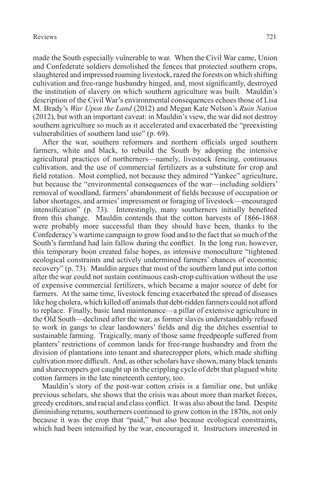made the South especially vulnerable to war. When the Civil War came, Union and Confederate soldiers demolished the fences that protected southern crops, slaughtered and impressed roaming livestock, razed the forests on which shifting cultivation and free-range husbandry hinged, and, most significantly, destroyed the institution of slavery on which southern agriculture was built. Mauldin's description of the Civil War's environmental consequences echoes those of Lisa M. Brady's *War Upon the Land* (2012) and Megan Kate Nelson's *Ruin Nation* (2012), but with an important caveat: in Mauldin's view, the war did not destroy southern agriculture so much as it accelerated and exacerbated the "preexisting vulnerabilities of southern land use" (p. 69).

After the war, southern reformers and northern officials urged southern farmers, white and black, to rebuild the South by adopting the intensive agricultural practices of northerners—namely, livestock fencing, continuous cultivation, and the use of commercial fertilizers as a substitute for crop and field rotation. Most complied, not because they admired "Yankee" agriculture, but because the "environmental consequences of the war—including soldiers' removal of woodland, farmers' abandonment of fields because of occupation or labor shortages, and armies' impressment or foraging of livestock—encouraged intensification" (p. 73). Interestingly, many southerners initially benefited from this change. Mauldin contends that the cotton harvests of 1866-1868 were probably more successful than they should have been, thanks to the Confederacy's wartime campaign to grow food and to the fact that so much of the South's farmland had lain fallow during the conflict. In the long run, however, this temporary boon created false hopes, as intensive monoculture "tightened ecological constraints and actively undermined farmers' chances of economic recovery" (p. 73). Mauldin argues that most of the southern land put into cotton after the war could not sustain continuous cash-crop cultivation without the use of expensive commercial fertilizers, which became a major source of debt for farmers. At the same time, livestock fencing exacerbated the spread of diseases like hog cholera, which killed off animals that debt-ridden farmers could not afford to replace. Finally, basic land maintenance—a pillar of extensive agriculture in the Old South—declined after the war, as former slaves understandably refused to work in gangs to clear landowners' fields and dig the ditches essential to sustainable farming. Tragically, many of those same freedpeople suffered from planters' restrictions of common lands for free-range husbandry and from the division of plantations into tenant and sharecropper plots, which made shifting cultivation more difficult. And, as other scholars have shown, many black tenants and sharecroppers got caught up in the crippling cycle of debt that plagued white cotton farmers in the late nineteenth century, too.

Mauldin's story of the post-war cotton crisis is a familiar one, but unlike previous scholars, she shows that the crisis was about more than market forces, greedy creditors, and racial and class conflict. It was also about the land. Despite diminishing returns, southerners continued to grow cotton in the 1870s, not only because it was the crop that "paid," but also because ecological constraints, which had been intensified by the war, encouraged it. Instructors interested in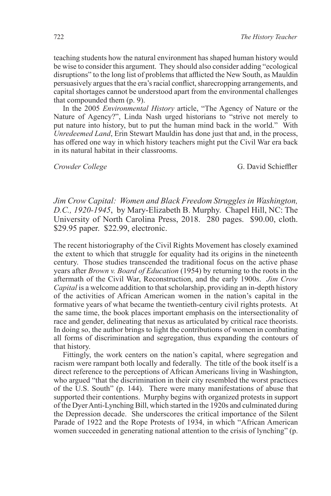teaching students how the natural environment has shaped human history would be wise to consider this argument. They should also consider adding "ecological disruptions" to the long list of problems that afflicted the New South, as Mauldin persuasively argues that the era's racial conflict, sharecropping arrangements, and capital shortages cannot be understood apart from the environmental challenges that compounded them (p. 9).

In the 2005 *Environmental History* article, "The Agency of Nature or the Nature of Agency?", Linda Nash urged historians to "strive not merely to put nature into history, but to put the human mind back in the world." With *Unredeemed Land*, Erin Stewart Mauldin has done just that and, in the process, has offered one way in which history teachers might put the Civil War era back in its natural habitat in their classrooms.

**Crowder College** G. David Schieffler

*Jim Crow Capital: Women and Black Freedom Struggles in Washington, D.C., 1920-1945*, by Mary-Elizabeth B. Murphy. Chapel Hill, NC: The University of North Carolina Press, 2018. 280 pages. \$90.00, cloth. \$29.95 paper. \$22.99, electronic.

The recent historiography of the Civil Rights Movement has closely examined the extent to which that struggle for equality had its origins in the nineteenth century. Those studies transcended the traditional focus on the active phase years after *Brown v. Board of Education* (1954) by returning to the roots in the aftermath of the Civil War, Reconstruction, and the early 1900s. *Jim Crow Capital* is a welcome addition to that scholarship, providing an in-depth history of the activities of African American women in the nation's capital in the formative years of what became the twentieth-century civil rights protests. At the same time, the book places important emphasis on the intersectionality of race and gender, delineating that nexus as articulated by critical race theorists. In doing so, the author brings to light the contributions of women in combating all forms of discrimination and segregation, thus expanding the contours of that history.

Fittingly, the work centers on the nation's capital, where segregation and racism were rampant both locally and federally. The title of the book itself is a direct reference to the perceptions of African Americans living in Washington, who argued "that the discrimination in their city resembled the worst practices of the U.S. South" (p. 144). There were many manifestations of abuse that supported their contentions. Murphy begins with organized protests in support of the Dyer Anti-Lynching Bill, which started in the 1920s and culminated during the Depression decade. She underscores the critical importance of the Silent Parade of 1922 and the Rope Protests of 1934, in which "African American women succeeded in generating national attention to the crisis of lynching" (p.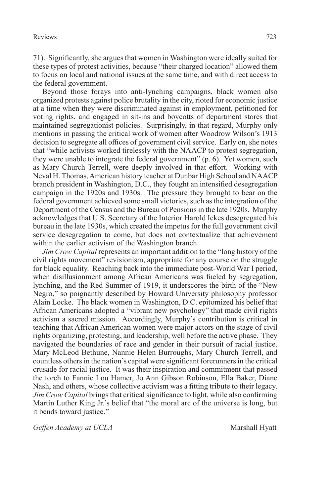71). Significantly, she argues that women in Washington were ideally suited for these types of protest activities, because "their charged location" allowed them to focus on local and national issues at the same time, and with direct access to the federal government.

Beyond those forays into anti-lynching campaigns, black women also organized protests against police brutality in the city, rioted for economic justice at a time when they were discriminated against in employment, petitioned for voting rights, and engaged in sit-ins and boycotts of department stores that maintained segregationist policies. Surprisingly, in that regard, Murphy only mentions in passing the critical work of women after Woodrow Wilson's 1913 decision to segregate all offices of government civil service. Early on, she notes that "while activists worked tirelessly with the NAACP to protest segregation, they were unable to integrate the federal government" (p. 6). Yet women, such as Mary Church Terrell, were deeply involved in that effort. Working with Neval H. Thomas, American history teacher at Dunbar High School and NAACP branch president in Washington, D.C., they fought an intensified desegregation campaign in the 1920s and 1930s. The pressure they brought to bear on the federal government achieved some small victories, such as the integration of the Department of the Census and the Bureau of Pensions in the late 1920s. Murphy acknowledges that U.S. Secretary of the Interior Harold Ickes desegregated his bureau in the late 1930s, which created the impetus for the full government civil service desegregation to come, but does not contextualize that achievement within the earlier activism of the Washington branch.

*Jim Crow Capital* represents an important addition to the "long history of the civil rights movement" revisionism, appropriate for any course on the struggle for black equality. Reaching back into the immediate post-World War I period, when disillusionment among African Americans was fueled by segregation, lynching, and the Red Summer of 1919, it underscores the birth of the "New Negro," so poignantly described by Howard University philosophy professor Alain Locke. The black women in Washington, D.C. epitomized his belief that African Americans adopted a "vibrant new psychology" that made civil rights activism a sacred mission. Accordingly, Murphy's contribution is critical in teaching that African American women were major actors on the stage of civil rights organizing, protesting, and leadership, well before the active phase. They navigated the boundaries of race and gender in their pursuit of racial justice. Mary McLeod Bethune, Nannie Helen Burroughs, Mary Church Terrell, and countless others in the nation's capital were significant forerunners in the critical crusade for racial justice. It was their inspiration and commitment that passed the torch to Fannie Lou Hamer, Jo Ann Gibson Robinson, Ella Baker, Diane Nash, and others, whose collective activism was a fitting tribute to their legacy. *Jim Crow Capital* brings that critical significance to light, while also confirming Martin Luther King Jr.'s belief that "the moral arc of the universe is long, but it bends toward justice."

*Geffen Academy at UCLA* Marshall Hyatt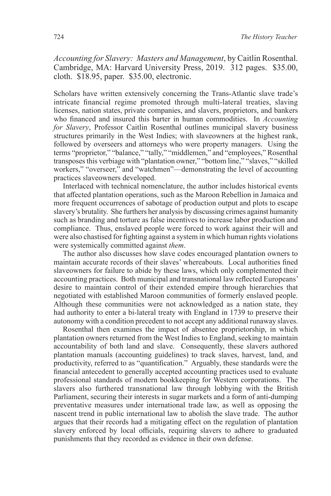*Accounting for Slavery: Masters and Management*, by Caitlin Rosenthal. Cambridge, MA: Harvard University Press, 2019. 312 pages. \$35.00, cloth. \$18.95, paper. \$35.00, electronic.

Scholars have written extensively concerning the Trans-Atlantic slave trade's intricate financial regime promoted through multi-lateral treaties, slaving licenses, nation states, private companies, and slavers, proprietors, and bankers who financed and insured this barter in human commodities. In *Accounting for Slavery*, Professor Caitlin Rosenthal outlines municipal slavery business structures primarily in the West Indies; with slaveowners at the highest rank, followed by overseers and attorneys who were property managers. Using the terms "proprietor," "balance," "tally," "middlemen," and "employees," Rosenthal transposes this verbiage with "plantation owner," "bottom line," "slaves," "skilled workers," "overseer," and "watchmen"—demonstrating the level of accounting practices slaveowners developed.

Interlaced with technical nomenclature, the author includes historical events that affected plantation operations, such as the Maroon Rebellion in Jamaica and more frequent occurrences of sabotage of production output and plots to escape slavery's brutality. She furthers her analysis by discussing crimes against humanity such as branding and torture as false incentives to increase labor production and compliance. Thus, enslaved people were forced to work against their will and were also chastised for fighting against a system in which human rights violations were systemically committed against *them*.

The author also discusses how slave codes encouraged plantation owners to maintain accurate records of their slaves' whereabouts. Local authorities fined slaveowners for failure to abide by these laws, which only complemented their accounting practices. Both municipal and transnational law reflected Europeans' desire to maintain control of their extended empire through hierarchies that negotiated with established Maroon communities of formerly enslaved people. Although these communities were not acknowledged as a nation state, they had authority to enter a bi-lateral treaty with England in 1739 to preserve their autonomy with a condition precedent to not accept any additional runaway slaves.

Rosenthal then examines the impact of absentee proprietorship, in which plantation owners returned from the West Indies to England, seeking to maintain accountability of both land and slave. Consequently, these slavers authored plantation manuals (accounting guidelines) to track slaves, harvest, land, and productivity, referred to as "quantification." Arguably, these standards were the financial antecedent to generally accepted accounting practices used to evaluate professional standards of modern bookkeeping for Western corporations. The slavers also furthered transnational law through lobbying with the British Parliament, securing their interests in sugar markets and a form of anti-dumping preventative measures under international trade law, as well as opposing the nascent trend in public international law to abolish the slave trade. The author argues that their records had a mitigating effect on the regulation of plantation slavery enforced by local officials, requiring slavers to adhere to graduated punishments that they recorded as evidence in their own defense.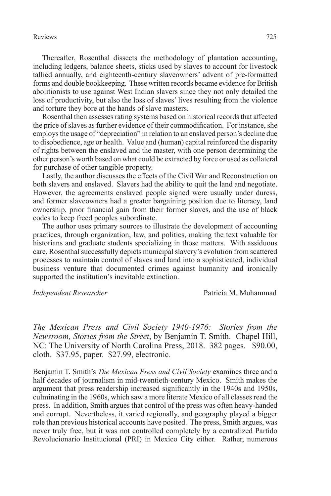## Reviews 725

Thereafter, Rosenthal dissects the methodology of plantation accounting, including ledgers, balance sheets, sticks used by slaves to account for livestock tallied annually, and eighteenth-century slaveowners' advent of pre-formatted forms and double bookkeeping. These written records became evidence for British abolitionists to use against West Indian slavers since they not only detailed the loss of productivity, but also the loss of slaves' lives resulting from the violence and torture they bore at the hands of slave masters.

Rosenthal then assesses rating systems based on historical records that affected the price of slaves as further evidence of their commodification. For instance, she employs the usage of "depreciation" in relation to an enslaved person's decline due to disobedience, age or health. Value and (human) capital reinforced the disparity of rights between the enslaved and the master, with one person determining the other person's worth based on what could be extracted by force or used as collateral for purchase of other tangible property.

Lastly, the author discusses the effects of the Civil War and Reconstruction on both slavers and enslaved. Slavers had the ability to quit the land and negotiate. However, the agreements enslaved people signed were usually under duress, and former slaveowners had a greater bargaining position due to literacy, land ownership, prior financial gain from their former slaves, and the use of black codes to keep freed peoples subordinate.

The author uses primary sources to illustrate the development of accounting practices, through organization, law, and politics, making the text valuable for historians and graduate students specializing in those matters. With assiduous care, Rosenthal successfully depicts municipal slavery's evolution from scattered processes to maintain control of slaves and land into a sophisticated, individual business venture that documented crimes against humanity and ironically supported the institution's inevitable extinction.

*Independent Researcher* Patricia M. Muhammad

*The Mexican Press and Civil Society 1940-1976: Stories from the Newsroom, Stories from the Street*, by Benjamin T. Smith. Chapel Hill, NC: The University of North Carolina Press, 2018. 382 pages. \$90.00, cloth. \$37.95, paper. \$27.99, electronic.

Benjamin T. Smith's *The Mexican Press and Civil Society* examines three and a half decades of journalism in mid-twentieth-century Mexico. Smith makes the argument that press readership increased significantly in the 1940s and 1950s, culminating in the 1960s, which saw a more literate Mexico of all classes read the press. In addition, Smith argues that control of the press was often heavy-handed and corrupt. Nevertheless, it varied regionally, and geography played a bigger role than previous historical accounts have posited. The press, Smith argues, was never truly free, but it was not controlled completely by a centralized Partido Revolucionario Institucional (PRI) in Mexico City either. Rather, numerous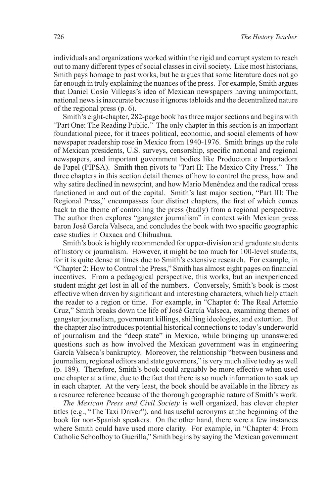individuals and organizations worked within the rigid and corrupt system to reach out to many different types of social classes in civil society. Like most historians, Smith pays homage to past works, but he argues that some literature does not go far enough in truly explaining the nuances of the press. For example, Smith argues that Daniel Cosío Villegas's idea of Mexican newspapers having unimportant, national news is inaccurate because it ignores tabloids and the decentralized nature of the regional press (p. 6).

Smith's eight-chapter, 282-page book has three major sections and begins with "Part One: The Reading Public." The only chapter in this section is an important foundational piece, for it traces political, economic, and social elements of how newspaper readership rose in Mexico from 1940-1976. Smith brings up the role of Mexican presidents, U.S. surveys, censorship, specific national and regional newspapers, and important government bodies like Productora e Importadora de Papel (PIPSA). Smith then pivots to "Part II: The Mexico City Press." The three chapters in this section detail themes of how to control the press, how and why satire declined in newsprint, and how Mario Menéndez and the radical press functioned in and out of the capital. Smith's last major section, "Part III: The Regional Press," encompasses four distinct chapters, the first of which comes back to the theme of controlling the press (badly) from a regional perspective. The author then explores "gangster journalism" in context with Mexican press baron José García Valseca, and concludes the book with two specific geographic case studies in Oaxaca and Chihuahua.

Smith's book is highly recommended for upper-division and graduate students of history or journalism. However, it might be too much for 100-level students, for it is quite dense at times due to Smith's extensive research. For example, in "Chapter 2: How to Control the Press," Smith has almost eight pages on financial incentives. From a pedagogical perspective, this works, but an inexperienced student might get lost in all of the numbers. Conversely, Smith's book is most effective when driven by significant and interesting characters, which help attach the reader to a region or time. For example, in "Chapter 6: The Real Artemio Cruz," Smith breaks down the life of José García Valseca, examining themes of gangster journalism, government killings, shifting ideologies, and extortion. But the chapter also introduces potential historical connections to today's underworld of journalism and the "deep state" in Mexico, while bringing up unanswered questions such as how involved the Mexican government was in engineering García Valseca's bankruptcy. Moreover, the relationship "between business and journalism, regional editors and state governors," is very much alive today as well (p. 189). Therefore, Smith's book could arguably be more effective when used one chapter at a time, due to the fact that there is so much information to soak up in each chapter. At the very least, the book should be available in the library as a resource reference because of the thorough geographic nature of Smith's work.

*The Mexican Press and Civil Society* is well organized, has clever chapter titles (e.g., "The Taxi Driver"), and has useful acronyms at the beginning of the book for non-Spanish speakers. On the other hand, there were a few instances where Smith could have used more clarity. For example, in "Chapter 4: From Catholic Schoolboy to Guerilla," Smith begins by saying the Mexican government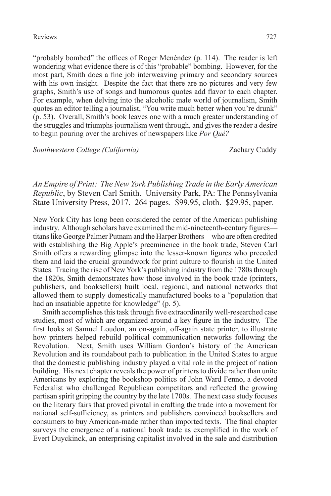## Reviews 727

"probably bombed" the offices of Roger Menéndez (p. 114). The reader is left wondering what evidence there is of this "probable" bombing. However, for the most part, Smith does a fine job interweaving primary and secondary sources with his own insight. Despite the fact that there are no pictures and very few graphs, Smith's use of songs and humorous quotes add flavor to each chapter. For example, when delving into the alcoholic male world of journalism, Smith quotes an editor telling a journalist, "You write much better when you're drunk" (p. 53). Overall, Smith's book leaves one with a much greater understanding of the struggles and triumphs journalism went through, and gives the reader a desire to begin pouring over the archives of newspapers like *Por Qué?*

*Southwestern College (California)* Zachary Cuddy

*An Empire of Print: The New York Publishing Trade in the Early American Republic*, by Steven Carl Smith. University Park, PA: The Pennsylvania State University Press, 2017. 264 pages. \$99.95, cloth. \$29.95, paper.

New York City has long been considered the center of the American publishing industry. Although scholars have examined the mid-nineteenth-century figures titans like George Palmer Putnam and the Harper Brothers—who are often credited with establishing the Big Apple's preeminence in the book trade, Steven Carl Smith offers a rewarding glimpse into the lesser-known figures who preceded them and laid the crucial groundwork for print culture to flourish in the United States. Tracing the rise of New York's publishing industry from the 1780s through the 1820s, Smith demonstrates how those involved in the book trade (printers, publishers, and booksellers) built local, regional, and national networks that allowed them to supply domestically manufactured books to a "population that had an insatiable appetite for knowledge" (p. 5).

Smith accomplishes this task through five extraordinarily well-researched case studies, most of which are organized around a key figure in the industry. The first looks at Samuel Loudon, an on-again, off-again state printer, to illustrate how printers helped rebuild political communication networks following the Revolution. Next, Smith uses William Gordon's history of the American Revolution and its roundabout path to publication in the United States to argue that the domestic publishing industry played a vital role in the project of nation building. His next chapter reveals the power of printers to divide rather than unite Americans by exploring the bookshop politics of John Ward Fenno, a devoted Federalist who challenged Republican competitors and reflected the growing partisan spirit gripping the country by the late 1700s. The next case study focuses on the literary fairs that proved pivotal in crafting the trade into a movement for national self-sufficiency, as printers and publishers convinced booksellers and consumers to buy American-made rather than imported texts. The final chapter surveys the emergence of a national book trade as exemplified in the work of Evert Duyckinck, an enterprising capitalist involved in the sale and distribution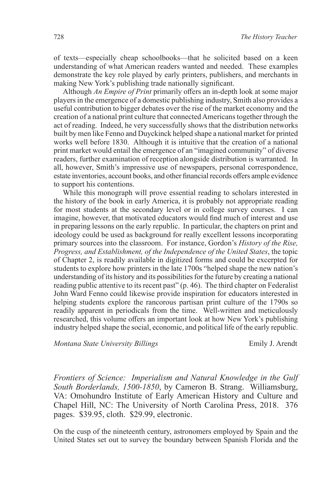of texts—especially cheap schoolbooks—that he solicited based on a keen understanding of what American readers wanted and needed. These examples demonstrate the key role played by early printers, publishers, and merchants in making New York's publishing trade nationally significant.

Although *An Empire of Print* primarily offers an in-depth look at some major players in the emergence of a domestic publishing industry, Smith also provides a useful contribution to bigger debates over the rise of the market economy and the creation of a national print culture that connected Americans together through the act of reading. Indeed, he very successfully shows that the distribution networks built by men like Fenno and Duyckinck helped shape a national market for printed works well before 1830. Although it is intuitive that the creation of a national print market would entail the emergence of an "imagined community" of diverse readers, further examination of reception alongside distribution is warranted. In all, however, Smith's impressive use of newspapers, personal correspondence, estate inventories, account books, and other financial records offers ample evidence to support his contentions.

While this monograph will prove essential reading to scholars interested in the history of the book in early America, it is probably not appropriate reading for most students at the secondary level or in college survey courses. I can imagine, however, that motivated educators would find much of interest and use in preparing lessons on the early republic. In particular, the chapters on print and ideology could be used as background for really excellent lessons incorporating primary sources into the classroom. For instance, Gordon's *History of the Rise, Progress, and Establishment, of the Independence of the United States*, the topic of Chapter 2, is readily available in digitized forms and could be excerpted for students to explore how printers in the late 1700s "helped shape the new nation's understanding of its history and its possibilities for the future by creating a national reading public attentive to its recent past" (p. 46). The third chapter on Federalist John Ward Fenno could likewise provide inspiration for educators interested in helping students explore the rancorous partisan print culture of the 1790s so readily apparent in periodicals from the time. Well-written and meticulously researched, this volume offers an important look at how New York's publishing industry helped shape the social, economic, and political life of the early republic.

*Montana State University Billings* Emily J. Arendt

*Frontiers of Science: Imperialism and Natural Knowledge in the Gulf South Borderlands, 1500-1850*, by Cameron B. Strang. Williamsburg, VA: Omohundro Institute of Early American History and Culture and Chapel Hill, NC: The University of North Carolina Press, 2018. 376 pages. \$39.95, cloth. \$29.99, electronic.

On the cusp of the nineteenth century, astronomers employed by Spain and the United States set out to survey the boundary between Spanish Florida and the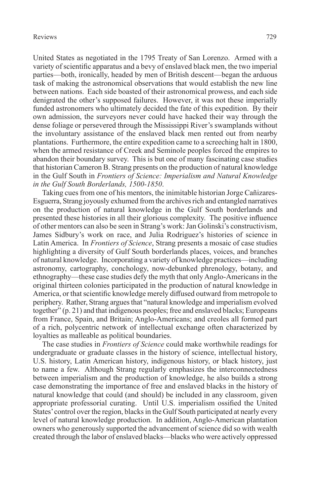United States as negotiated in the 1795 Treaty of San Lorenzo. Armed with a variety of scientific apparatus and a bevy of enslaved black men, the two imperial parties—both, ironically, headed by men of British descent—began the arduous task of making the astronomical observations that would establish the new line between nations. Each side boasted of their astronomical prowess, and each side denigrated the other's supposed failures. However, it was not these imperially funded astronomers who ultimately decided the fate of this expedition. By their own admission, the surveyors never could have hacked their way through the dense foliage or persevered through the Mississippi River's swamplands without the involuntary assistance of the enslaved black men rented out from nearby plantations. Furthermore, the entire expedition came to a screeching halt in 1800, when the armed resistance of Creek and Seminole peoples forced the empires to abandon their boundary survey. This is but one of many fascinating case studies that historian Cameron B. Strang presents on the production of natural knowledge in the Gulf South in *Frontiers of Science: Imperialism and Natural Knowledge in the Gulf South Borderlands, 1500-1850*.

Taking cues from one of his mentors, the inimitable historian Jorge Cañizares-Esguerra, Strang joyously exhumed from the archives rich and entangled narratives on the production of natural knowledge in the Gulf South borderlands and presented these histories in all their glorious complexity. The positive influence of other mentors can also be seen in Strang's work: Jan Golinski's constructivism, James Sidbury's work on race, and Julia Rodriguez's histories of science in Latin America. In *Frontiers of Science*, Strang presents a mosaic of case studies highlighting a diversity of Gulf South borderlands places, voices, and branches of natural knowledge. Incorporating a variety of knowledge practices—including astronomy, cartography, conchology, now-debunked phrenology, botany, and ethnography—these case studies defy the myth that only Anglo-Americans in the original thirteen colonies participated in the production of natural knowledge in America, or that scientific knowledge merely diffused outward from metropole to periphery. Rather, Strang argues that "natural knowledge and imperialism evolved together" (p. 21) and that indigenous peoples; free and enslaved blacks; Europeans from France, Spain, and Britain; Anglo-Americans; and creoles all formed part of a rich, polycentric network of intellectual exchange often characterized by loyalties as malleable as political boundaries.

The case studies in *Frontiers of Science* could make worthwhile readings for undergraduate or graduate classes in the history of science, intellectual history, U.S. history, Latin American history, indigenous history, or black history, just to name a few. Although Strang regularly emphasizes the interconnectedness between imperialism and the production of knowledge, he also builds a strong case demonstrating the importance of free and enslaved blacks in the history of natural knowledge that could (and should) be included in any classroom, given appropriate professorial curating. Until U.S. imperialism ossified the United States' control over the region, blacks in the Gulf South participated at nearly every level of natural knowledge production. In addition, Anglo-American plantation owners who generously supported the advancement of science did so with wealth created through the labor of enslaved blacks—blacks who were actively oppressed